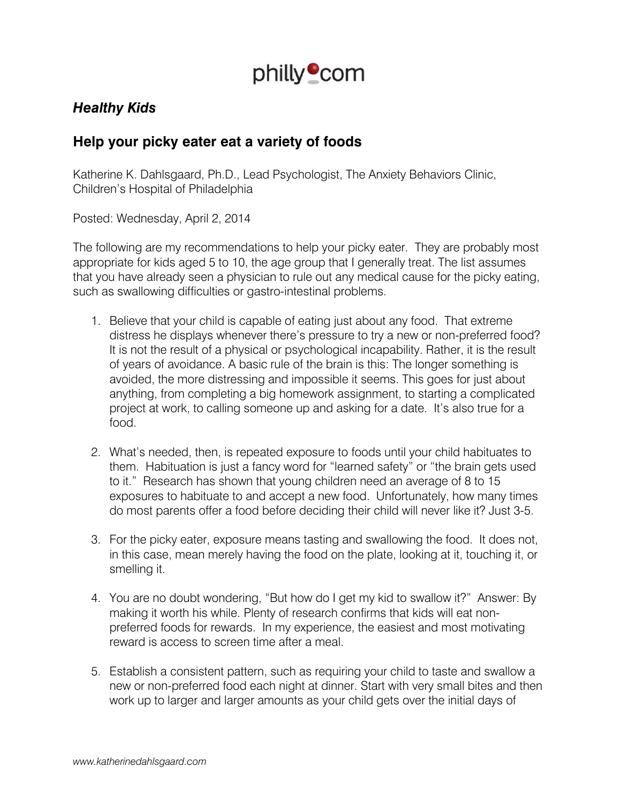

## *Healthy Kids*

## **Help your picky eater eat a variety of foods**

Katherine K. Dahlsgaard, Ph.D., Lead Psychologist, The Anxiety Behaviors Clinic, Children's Hospital of Philadelphia

Posted: Wednesday, April 2, 2014

The following are my recommendations to help your picky eater. They are probably most appropriate for kids aged 5 to 10, the age group that I generally treat. The list assumes that you have already seen a physician to rule out any medical cause for the picky eating, such as swallowing difficulties or gastro-intestinal problems.

- 1. Believe that your child is capable of eating just about any food. That extreme distress he displays whenever there's pressure to try a new or non-preferred food? It is not the result of a physical or psychological incapability. Rather, it is the result of years of avoidance. A basic rule of the brain is this: The longer something is avoided, the more distressing and impossible it seems. This goes for just about anything, from completing a big homework assignment, to starting a complicated project at work, to calling someone up and asking for a date. It's also true for a food.
- 2. What's needed, then, is repeated exposure to foods until your child habituates to them. Habituation is just a fancy word for "learned safety" or "the brain gets used to it." Research has shown that young children need an average of 8 to 15 exposures to habituate to and accept a new food. Unfortunately, how many times do most parents offer a food before deciding their child will never like it? Just 3-5.
- 3. For the picky eater, exposure means tasting and swallowing the food. It does not, in this case, mean merely having the food on the plate, looking at it, touching it, or smelling it.
- 4. You are no doubt wondering, "But how do I get my kid to swallow it?" Answer: By making it worth his while. Plenty of research confirms that kids will eat nonpreferred foods for rewards. In my experience, the easiest and most motivating reward is access to screen time after a meal.
- 5. Establish a consistent pattern, such as requiring your child to taste and swallow a new or non-preferred food each night at dinner. Start with very small bites and then work up to larger and larger amounts as your child gets over the initial days of